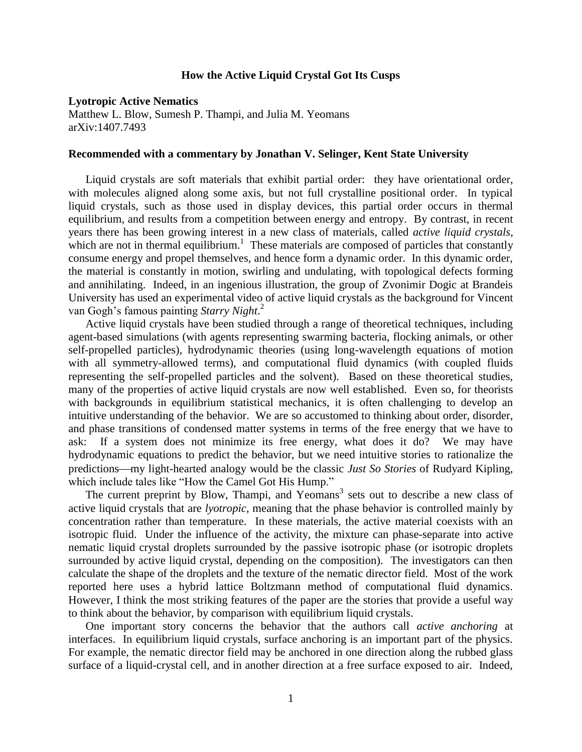## **How the Active Liquid Crystal Got Its Cusps**

## **Lyotropic Active Nematics**

Matthew L. Blow, Sumesh P. Thampi, and Julia M. Yeomans arXiv:1407.7493

## **Recommended with a commentary by Jonathan V. Selinger, Kent State University**

Liquid crystals are soft materials that exhibit partial order: they have orientational order, with molecules aligned along some axis, but not full crystalline positional order. In typical liquid crystals, such as those used in display devices, this partial order occurs in thermal equilibrium, and results from a competition between energy and entropy. By contrast, in recent years there has been growing interest in a new class of materials, called *active liquid crystals*, which are not in thermal equilibrium.<sup>1</sup> These materials are composed of particles that constantly consume energy and propel themselves, and hence form a dynamic order. In this dynamic order, the material is constantly in motion, swirling and undulating, with topological defects forming and annihilating. Indeed, in an ingenious illustration, the group of Zvonimir Dogic at Brandeis University has used an experimental video of active liquid crystals as the background for Vincent van Gogh's famous painting *Starry Night*. 2

Active liquid crystals have been studied through a range of theoretical techniques, including agent-based simulations (with agents representing swarming bacteria, flocking animals, or other self-propelled particles), hydrodynamic theories (using long-wavelength equations of motion with all symmetry-allowed terms), and computational fluid dynamics (with coupled fluids representing the self-propelled particles and the solvent). Based on these theoretical studies, many of the properties of active liquid crystals are now well established. Even so, for theorists with backgrounds in equilibrium statistical mechanics, it is often challenging to develop an intuitive understanding of the behavior. We are so accustomed to thinking about order, disorder, and phase transitions of condensed matter systems in terms of the free energy that we have to ask: If a system does not minimize its free energy, what does it do? We may have hydrodynamic equations to predict the behavior, but we need intuitive stories to rationalize the predictions—my light-hearted analogy would be the classic *Just So Stories* of Rudyard Kipling, which include tales like "How the Camel Got His Hump."

The current preprint by Blow, Thampi, and Yeomans<sup>3</sup> sets out to describe a new class of active liquid crystals that are *lyotropic*, meaning that the phase behavior is controlled mainly by concentration rather than temperature. In these materials, the active material coexists with an isotropic fluid. Under the influence of the activity, the mixture can phase-separate into active nematic liquid crystal droplets surrounded by the passive isotropic phase (or isotropic droplets surrounded by active liquid crystal, depending on the composition). The investigators can then calculate the shape of the droplets and the texture of the nematic director field. Most of the work reported here uses a hybrid lattice Boltzmann method of computational fluid dynamics. However, I think the most striking features of the paper are the stories that provide a useful way to think about the behavior, by comparison with equilibrium liquid crystals.

One important story concerns the behavior that the authors call *active anchoring* at interfaces. In equilibrium liquid crystals, surface anchoring is an important part of the physics. For example, the nematic director field may be anchored in one direction along the rubbed glass surface of a liquid-crystal cell, and in another direction at a free surface exposed to air. Indeed,